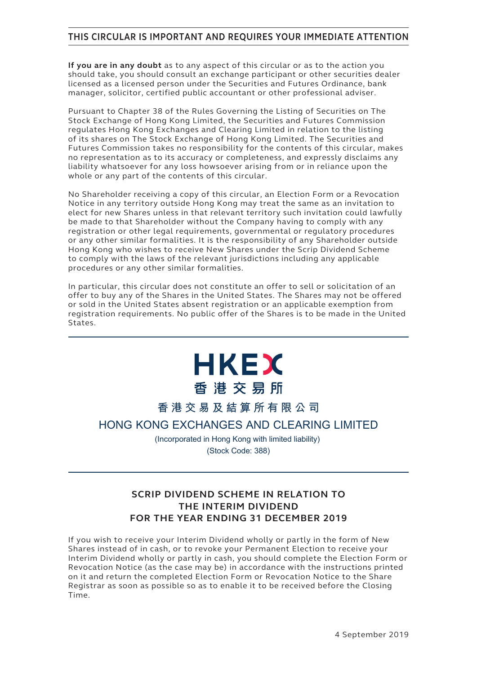## **THIS CIRCULAR IS IMPORTANT AND REQUIRES YOUR IMMEDIATE ATTENTION**

**If you are in any doubt** as to any aspect of this circular or as to the action you should take, you should consult an exchange participant or other securities dealer licensed as a licensed person under the Securities and Futures Ordinance, bank manager, solicitor, certified public accountant or other professional adviser.

Pursuant to Chapter 38 of the Rules Governing the Listing of Securities on The Stock Exchange of Hong Kong Limited, the Securities and Futures Commission regulates Hong Kong Exchanges and Clearing Limited in relation to the listing of its shares on The Stock Exchange of Hong Kong Limited. The Securities and Futures Commission takes no responsibility for the contents of this circular, makes no representation as to its accuracy or completeness, and expressly disclaims any liability whatsoever for any loss howsoever arising from or in reliance upon the whole or any part of the contents of this circular.

No Shareholder receiving a copy of this circular, an Election Form or a Revocation Notice in any territory outside Hong Kong may treat the same as an invitation to elect for new Shares unless in that relevant territory such invitation could lawfully be made to that Shareholder without the Company having to comply with any registration or other legal requirements, governmental or regulatory procedures or any other similar formalities. It is the responsibility of any Shareholder outside Hong Kong who wishes to receive New Shares under the Scrip Dividend Scheme to comply with the laws of the relevant jurisdictions including any applicable procedures or any other similar formalities.

In particular, this circular does not constitute an offer to sell or solicitation of an offer to buy any of the Shares in the United States. The Shares may not be offered or sold in the United States absent registration or an applicable exemption from registration requirements. No public offer of the Shares is to be made in the United States.

# **HKEX** 香港交易所

**香港交易及結算所有限公司**

**HONG KONG EXCHANGES AND CLEARING LIMITED**

(Incorporated in Hong Kong with limited liability) (Stock Code: 388)

## **SCRIP DIVIDEND SCHEME IN RELATION TO THE INTERIM DIVIDEND FOR THE YEAR ENDING 31 DECEMBER 2019**

If you wish to receive your Interim Dividend wholly or partly in the form of New Shares instead of in cash, or to revoke your Permanent Election to receive your Interim Dividend wholly or partly in cash, you should complete the Election Form or Revocation Notice (as the case may be) in accordance with the instructions printed on it and return the completed Election Form or Revocation Notice to the Share Registrar as soon as possible so as to enable it to be received before the Closing Time.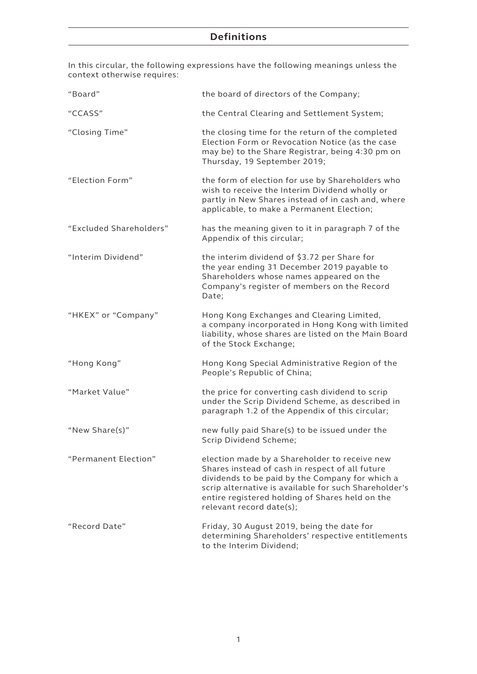## **Definitions**

In this circular, the following expressions have the following meanings unless the context otherwise requires:

| "Board"                 | the board of directors of the Company;                                                                                                                                                                                                                                                      |
|-------------------------|---------------------------------------------------------------------------------------------------------------------------------------------------------------------------------------------------------------------------------------------------------------------------------------------|
| "CCASS"                 | the Central Clearing and Settlement System;                                                                                                                                                                                                                                                 |
| "Closing Time"          | the closing time for the return of the completed<br>Election Form or Revocation Notice (as the case<br>may be) to the Share Registrar, being 4:30 pm on<br>Thursday, 19 September 2019;                                                                                                     |
| "Election Form"         | the form of election for use by Shareholders who<br>wish to receive the Interim Dividend wholly or<br>partly in New Shares instead of in cash and, where<br>applicable, to make a Permanent Election;                                                                                       |
| "Excluded Shareholders" | has the meaning given to it in paragraph 7 of the<br>Appendix of this circular;                                                                                                                                                                                                             |
| "Interim Dividend"      | the interim dividend of \$3.72 per Share for<br>the year ending 31 December 2019 payable to<br>Shareholders whose names appeared on the<br>Company's register of members on the Record<br>Date;                                                                                             |
| "HKEX" or "Company"     | Hong Kong Exchanges and Clearing Limited,<br>a company incorporated in Hong Kong with limited<br>liability, whose shares are listed on the Main Board<br>of the Stock Exchange;                                                                                                             |
| "Hong Kong"             | Hong Kong Special Administrative Region of the<br>People's Republic of China;                                                                                                                                                                                                               |
| "Market Value"          | the price for converting cash dividend to scrip<br>under the Scrip Dividend Scheme, as described in<br>paragraph 1.2 of the Appendix of this circular;                                                                                                                                      |
| "New Share(s)"          | new fully paid Share(s) to be issued under the<br>Scrip Dividend Scheme;                                                                                                                                                                                                                    |
| "Permanent Election"    | election made by a Shareholder to receive new<br>Shares instead of cash in respect of all future<br>dividends to be paid by the Company for which a<br>scrip alternative is available for such Shareholder's<br>entire registered holding of Shares held on the<br>relevant record date(s); |
| "Record Date"           | Friday, 30 August 2019, being the date for<br>determining Shareholders' respective entitlements<br>to the Interim Dividend;                                                                                                                                                                 |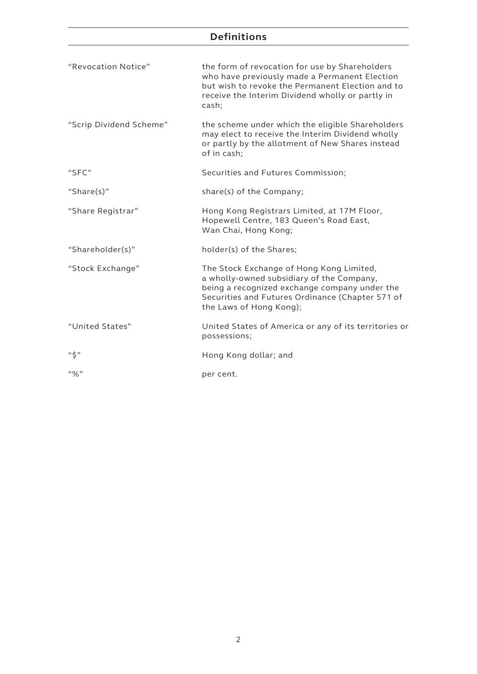## **Definitions**

| "Revocation Notice"     | the form of revocation for use by Shareholders<br>who have previously made a Permanent Election<br>but wish to revoke the Permanent Election and to<br>receive the Interim Dividend wholly or partly in<br>cash;      |
|-------------------------|-----------------------------------------------------------------------------------------------------------------------------------------------------------------------------------------------------------------------|
| "Scrip Dividend Scheme" | the scheme under which the eligible Shareholders<br>may elect to receive the Interim Dividend wholly<br>or partly by the allotment of New Shares instead<br>of in cash;                                               |
| "SFC"                   | Securities and Futures Commission;                                                                                                                                                                                    |
| "Share $(s)$ "          | share(s) of the Company;                                                                                                                                                                                              |
| "Share Registrar"       | Hong Kong Registrars Limited, at 17M Floor,<br>Hopewell Centre, 183 Queen's Road East,<br>Wan Chai, Hong Kong;                                                                                                        |
| "Shareholder(s)"        | holder(s) of the Shares;                                                                                                                                                                                              |
| "Stock Exchange"        | The Stock Exchange of Hong Kong Limited,<br>a wholly-owned subsidiary of the Company,<br>being a recognized exchange company under the<br>Securities and Futures Ordinance (Chapter 571 of<br>the Laws of Hong Kong); |
| "United States"         | United States of America or any of its territories or<br>possessions;                                                                                                                                                 |
| $``\zeta"$              | Hong Kong dollar; and                                                                                                                                                                                                 |
| $``\%"$                 | per cent.                                                                                                                                                                                                             |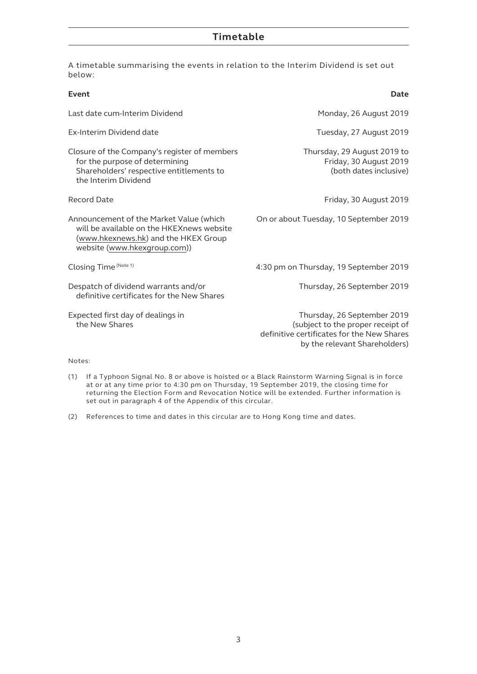| A timetable summarising the events in relation to the Interim Dividend is set out |  |  |  |
|-----------------------------------------------------------------------------------|--|--|--|
| below:                                                                            |  |  |  |

| Event                                                                                                                                                        | Date                                                                                                                                            |
|--------------------------------------------------------------------------------------------------------------------------------------------------------------|-------------------------------------------------------------------------------------------------------------------------------------------------|
| Last date cum-Interim Dividend                                                                                                                               | Monday, 26 August 2019                                                                                                                          |
| Ex-Interim Dividend date                                                                                                                                     | Tuesday, 27 August 2019                                                                                                                         |
| Closure of the Company's register of members<br>for the purpose of determining<br>Shareholders' respective entitlements to<br>the Interim Dividend           | Thursday, 29 August 2019 to<br>Friday, 30 August 2019<br>(both dates inclusive)                                                                 |
| <b>Record Date</b>                                                                                                                                           | Friday, 30 August 2019                                                                                                                          |
| Announcement of the Market Value (which<br>will be available on the HKEXnews website<br>(www.hkexnews.hk) and the HKEX Group<br>website (www.hkexgroup.com)) | On or about Tuesday, 10 September 2019                                                                                                          |
| Closing Time (Note 1)                                                                                                                                        | 4:30 pm on Thursday, 19 September 2019                                                                                                          |
| Despatch of dividend warrants and/or<br>definitive certificates for the New Shares                                                                           | Thursday, 26 September 2019                                                                                                                     |
| Expected first day of dealings in<br>the New Shares                                                                                                          | Thursday, 26 September 2019<br>(subject to the proper receipt of<br>definitive certificates for the New Shares<br>by the relevant Shareholders) |

#### Notes:

- (1) If a Typhoon Signal No. 8 or above is hoisted or a Black Rainstorm Warning Signal is in force at or at any time prior to 4:30 pm on Thursday, 19 September 2019, the closing time for returning the Election Form and Revocation Notice will be extended. Further information is set out in paragraph 4 of the Appendix of this circular.
- (2) References to time and dates in this circular are to Hong Kong time and dates.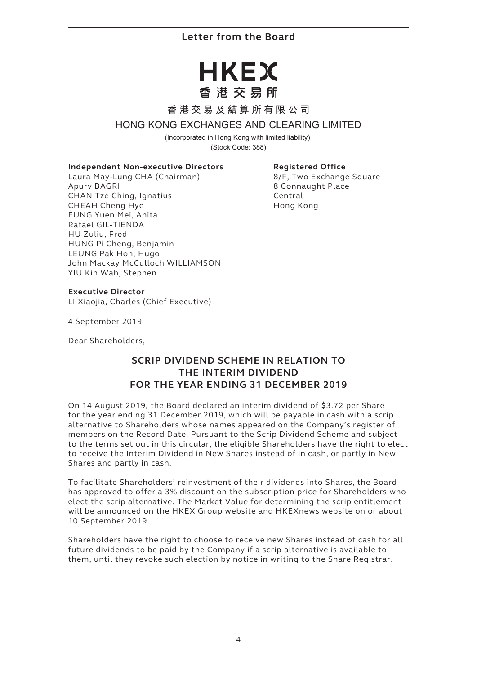## **Letter from the Board**

## HKEX 香港交易所

#### **香港交易及結算所有限公司**

#### **HONG KONG EXCHANGES AND CLEARING LIMITED**

(Incorporated in Hong Kong with limited liability) (Stock Code: 388)

**Independent Non-executive Directors**

Laura May-Lung CHA (Chairman) Apurv BAGRI CHAN Tze Ching, Ignatius CHEAH Cheng Hye FUNG Yuen Mei, Anita Rafael GIL-TIENDA HU Zuliu, Fred HUNG Pi Cheng, Benjamin LEUNG Pak Hon, Hugo John Mackay McCulloch WILLIAMSON YIU Kin Wah, Stephen

**Registered Office**

8/F, Two Exchange Square 8 Connaught Place Central Hong Kong

#### **Executive Director**

LI Xiaojia, Charles (Chief Executive)

4 September 2019

Dear Shareholders,

## **SCRIP DIVIDEND SCHEME IN RELATION TO THE INTERIM DIVIDEND FOR THE YEAR ENDING 31 DECEMBER 2019**

On 14 August 2019, the Board declared an interim dividend of \$3.72 per Share for the year ending 31 December 2019, which will be payable in cash with a scrip alternative to Shareholders whose names appeared on the Company's register of members on the Record Date. Pursuant to the Scrip Dividend Scheme and subject to the terms set out in this circular, the eligible Shareholders have the right to elect to receive the Interim Dividend in New Shares instead of in cash, or partly in New Shares and partly in cash.

To facilitate Shareholders' reinvestment of their dividends into Shares, the Board has approved to offer a 3% discount on the subscription price for Shareholders who elect the scrip alternative. The Market Value for determining the scrip entitlement will be announced on the HKEX Group website and HKEXnews website on or about 10 September 2019.

Shareholders have the right to choose to receive new Shares instead of cash for all future dividends to be paid by the Company if a scrip alternative is available to them, until they revoke such election by notice in writing to the Share Registrar.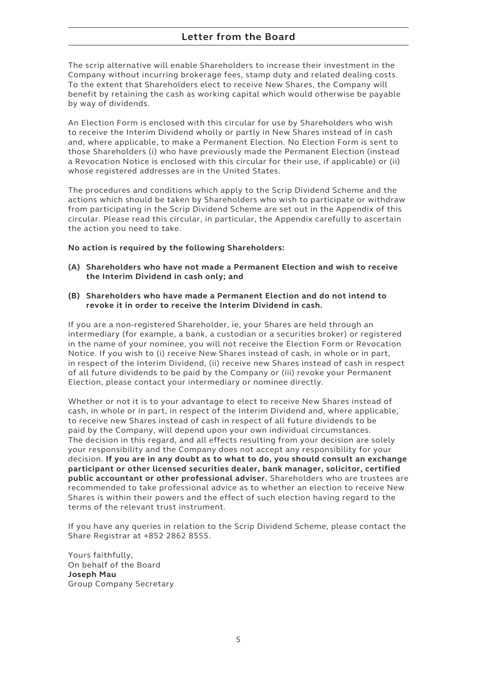The scrip alternative will enable Shareholders to increase their investment in the Company without incurring brokerage fees, stamp duty and related dealing costs. To the extent that Shareholders elect to receive New Shares, the Company will benefit by retaining the cash as working capital which would otherwise be payable by way of dividends.

An Election Form is enclosed with this circular for use by Shareholders who wish to receive the Interim Dividend wholly or partly in New Shares instead of in cash and, where applicable, to make a Permanent Election. No Election Form is sent to those Shareholders (i) who have previously made the Permanent Election (instead a Revocation Notice is enclosed with this circular for their use, if applicable) or (ii) whose registered addresses are in the United States.

The procedures and conditions which apply to the Scrip Dividend Scheme and the actions which should be taken by Shareholders who wish to participate or withdraw from participating in the Scrip Dividend Scheme are set out in the Appendix of this circular. Please read this circular, in particular, the Appendix carefully to ascertain the action you need to take.

#### **No action is required by the following Shareholders:**

- **(A) Shareholders who have not made a Permanent Election and wish to receive the Interim Dividend in cash only; and**
- **(B) Shareholders who have made a Permanent Election and do not intend to revoke it in order to receive the Interim Dividend in cash.**

If you are a non-registered Shareholder, ie, your Shares are held through an intermediary (for example, a bank, a custodian or a securities broker) or registered in the name of your nominee, you will not receive the Election Form or Revocation Notice. If you wish to (i) receive New Shares instead of cash, in whole or in part, in respect of the Interim Dividend, (ii) receive new Shares instead of cash in respect of all future dividends to be paid by the Company or (iii) revoke your Permanent Election, please contact your intermediary or nominee directly.

Whether or not it is to your advantage to elect to receive New Shares instead of cash, in whole or in part, in respect of the Interim Dividend and, where applicable, to receive new Shares instead of cash in respect of all future dividends to be paid by the Company, will depend upon your own individual circumstances. The decision in this regard, and all effects resulting from your decision are solely your responsibility and the Company does not accept any responsibility for your decision. **If you are in any doubt as to what to do, you should consult an exchange participant or other licensed securities dealer, bank manager, solicitor, certified public accountant or other professional adviser.** Shareholders who are trustees are recommended to take professional advice as to whether an election to receive New Shares is within their powers and the effect of such election having regard to the terms of the relevant trust instrument.

If you have any queries in relation to the Scrip Dividend Scheme, please contact the Share Registrar at +852 2862 8555.

Yours faithfully, On behalf of the Board **Joseph Mau** Group Company Secretary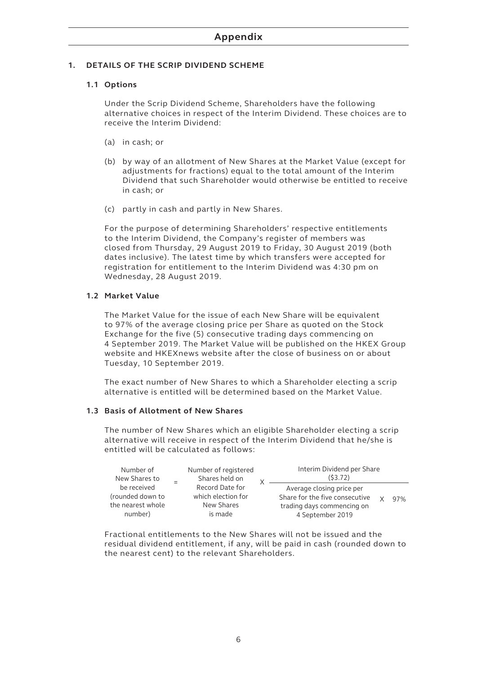#### **1. DETAILS OF THE SCRIP DIVIDEND SCHEME**

#### **1.1 Options**

Under the Scrip Dividend Scheme, Shareholders have the following alternative choices in respect of the Interim Dividend. These choices are to receive the Interim Dividend:

- (a) in cash; or
- (b) by way of an allotment of New Shares at the Market Value (except for adjustments for fractions) equal to the total amount of the Interim Dividend that such Shareholder would otherwise be entitled to receive in cash; or
- (c) partly in cash and partly in New Shares.

For the purpose of determining Shareholders' respective entitlements to the Interim Dividend, the Company's register of members was closed from Thursday, 29 August 2019 to Friday, 30 August 2019 (both dates inclusive). The latest time by which transfers were accepted for registration for entitlement to the Interim Dividend was 4:30 pm on Wednesday, 28 August 2019.

#### **1.2 Market Value**

The Market Value for the issue of each New Share will be equivalent to 97% of the average closing price per Share as quoted on the Stock Exchange for the five (5) consecutive trading days commencing on 4 September 2019. The Market Value will be published on the HKEX Group website and HKEXnews website after the close of business on or about Tuesday, 10 September 2019.

The exact number of New Shares to which a Shareholder electing a scrip alternative is entitled will be determined based on the Market Value.

#### **1.3 Basis of Allotment of New Shares**

The number of New Shares which an eligible Shareholder electing a scrip alternative will receive in respect of the Interim Dividend that he/she is entitled will be calculated as follows:

| Number of<br>New Shares to                                      | Number of registered<br>Shares held on                         | Interim Dividend per Share<br>(53.72)                                                                         |  |     |
|-----------------------------------------------------------------|----------------------------------------------------------------|---------------------------------------------------------------------------------------------------------------|--|-----|
| be received<br>(rounded down to<br>the nearest whole<br>number) | Record Date for<br>which election for<br>New Shares<br>is made | Average closing price per<br>Share for the five consecutive<br>trading days commencing on<br>4 September 2019 |  | 97% |

Fractional entitlements to the New Shares will not be issued and the residual dividend entitlement, if any, will be paid in cash (rounded down to the nearest cent) to the relevant Shareholders.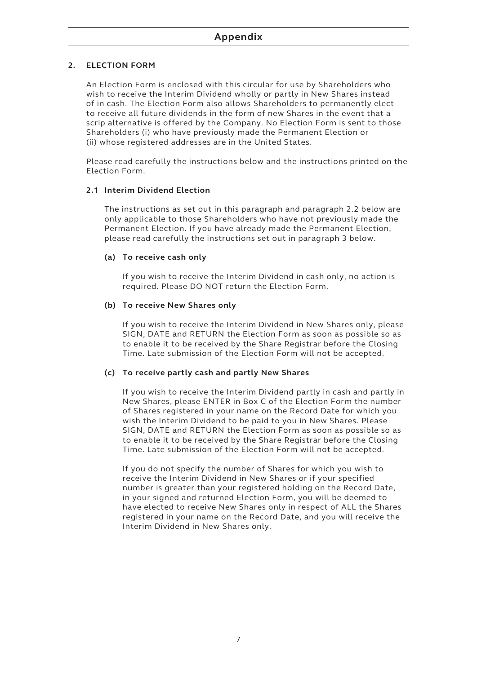#### **2. ELECTION FORM**

An Election Form is enclosed with this circular for use by Shareholders who wish to receive the Interim Dividend wholly or partly in New Shares instead of in cash. The Election Form also allows Shareholders to permanently elect to receive all future dividends in the form of new Shares in the event that a scrip alternative is offered by the Company. No Election Form is sent to those Shareholders (i) who have previously made the Permanent Election or (ii) whose registered addresses are in the United States.

Please read carefully the instructions below and the instructions printed on the Election Form.

#### **2.1 Interim Dividend Election**

The instructions as set out in this paragraph and paragraph 2.2 below are only applicable to those Shareholders who have not previously made the Permanent Election. If you have already made the Permanent Election, please read carefully the instructions set out in paragraph 3 below.

#### **(a) To receive cash only**

If you wish to receive the Interim Dividend in cash only, no action is required. Please DO NOT return the Election Form.

#### **(b) To receive New Shares only**

If you wish to receive the Interim Dividend in New Shares only, please SIGN, DATE and RETURN the Election Form as soon as possible so as to enable it to be received by the Share Registrar before the Closing Time. Late submission of the Election Form will not be accepted.

#### **(c) To receive partly cash and partly New Shares**

If you wish to receive the Interim Dividend partly in cash and partly in New Shares, please ENTER in Box C of the Election Form the number of Shares registered in your name on the Record Date for which you wish the Interim Dividend to be paid to you in New Shares. Please SIGN, DATE and RETURN the Election Form as soon as possible so as to enable it to be received by the Share Registrar before the Closing Time. Late submission of the Election Form will not be accepted.

If you do not specify the number of Shares for which you wish to receive the Interim Dividend in New Shares or if your specified number is greater than your registered holding on the Record Date, in your signed and returned Election Form, you will be deemed to have elected to receive New Shares only in respect of ALL the Shares registered in your name on the Record Date, and you will receive the Interim Dividend in New Shares only.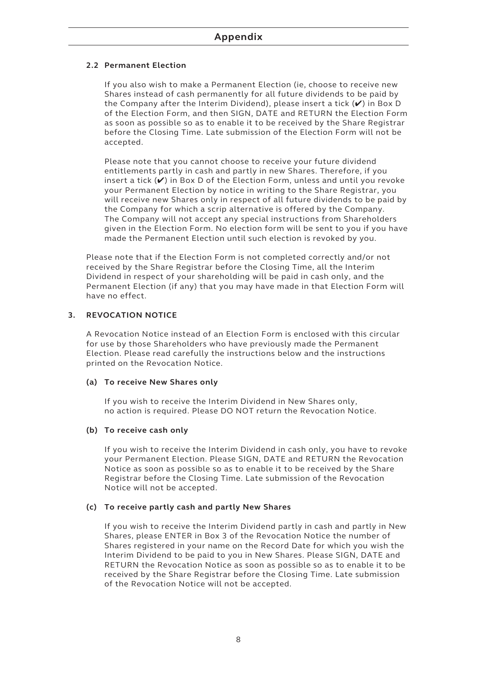#### **2.2 Permanent Election**

If you also wish to make a Permanent Election (ie, choose to receive new Shares instead of cash permanently for all future dividends to be paid by the Company after the Interim Dividend), please insert a tick  $(V)$  in Box D of the Election Form, and then SIGN, DATE and RETURN the Election Form as soon as possible so as to enable it to be received by the Share Registrar before the Closing Time. Late submission of the Election Form will not be accepted.

Please note that you cannot choose to receive your future dividend entitlements partly in cash and partly in new Shares. Therefore, if you insert a tick  $(V)$  in Box D of the Election Form, unless and until you revoke your Permanent Election by notice in writing to the Share Registrar, you will receive new Shares only in respect of all future dividends to be paid by the Company for which a scrip alternative is offered by the Company. The Company will not accept any special instructions from Shareholders given in the Election Form. No election form will be sent to you if you have made the Permanent Election until such election is revoked by you.

Please note that if the Election Form is not completed correctly and/or not received by the Share Registrar before the Closing Time, all the Interim Dividend in respect of your shareholding will be paid in cash only, and the Permanent Election (if any) that you may have made in that Election Form will have no effect.

#### **3. REVOCATION NOTICE**

A Revocation Notice instead of an Election Form is enclosed with this circular for use by those Shareholders who have previously made the Permanent Election. Please read carefully the instructions below and the instructions printed on the Revocation Notice.

#### **(a) To receive New Shares only**

If you wish to receive the Interim Dividend in New Shares only, no action is required. Please DO NOT return the Revocation Notice.

#### **(b) To receive cash only**

If you wish to receive the Interim Dividend in cash only, you have to revoke your Permanent Election. Please SIGN, DATE and RETURN the Revocation Notice as soon as possible so as to enable it to be received by the Share Registrar before the Closing Time. Late submission of the Revocation Notice will not be accepted.

#### **(c) To receive partly cash and partly New Shares**

If you wish to receive the Interim Dividend partly in cash and partly in New Shares, please ENTER in Box 3 of the Revocation Notice the number of Shares registered in your name on the Record Date for which you wish the Interim Dividend to be paid to you in New Shares. Please SIGN, DATE and RETURN the Revocation Notice as soon as possible so as to enable it to be received by the Share Registrar before the Closing Time. Late submission of the Revocation Notice will not be accepted.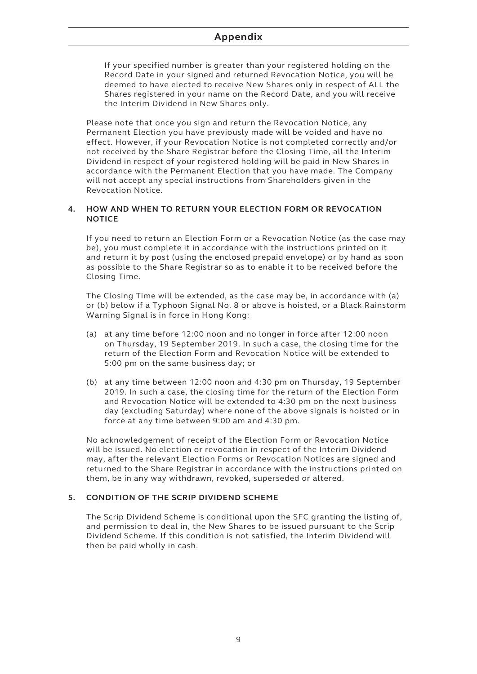If your specified number is greater than your registered holding on the Record Date in your signed and returned Revocation Notice, you will be deemed to have elected to receive New Shares only in respect of ALL the Shares registered in your name on the Record Date, and you will receive the Interim Dividend in New Shares only.

Please note that once you sign and return the Revocation Notice, any Permanent Election you have previously made will be voided and have no effect. However, if your Revocation Notice is not completed correctly and/or not received by the Share Registrar before the Closing Time, all the Interim Dividend in respect of your registered holding will be paid in New Shares in accordance with the Permanent Election that you have made. The Company will not accept any special instructions from Shareholders given in the Revocation Notice.

#### **4. HOW AND WHEN TO RETURN YOUR ELECTION FORM OR REVOCATION NOTICE**

If you need to return an Election Form or a Revocation Notice (as the case may be), you must complete it in accordance with the instructions printed on it and return it by post (using the enclosed prepaid envelope) or by hand as soon as possible to the Share Registrar so as to enable it to be received before the Closing Time.

The Closing Time will be extended, as the case may be, in accordance with (a) or (b) below if a Typhoon Signal No. 8 or above is hoisted, or a Black Rainstorm Warning Signal is in force in Hong Kong:

- (a) at any time before 12:00 noon and no longer in force after 12:00 noon on Thursday, 19 September 2019. In such a case, the closing time for the return of the Election Form and Revocation Notice will be extended to 5:00 pm on the same business day; or
- (b) at any time between 12:00 noon and 4:30 pm on Thursday, 19 September 2019. In such a case, the closing time for the return of the Election Form and Revocation Notice will be extended to 4:30 pm on the next business day (excluding Saturday) where none of the above signals is hoisted or in force at any time between 9:00 am and 4:30 pm.

No acknowledgement of receipt of the Election Form or Revocation Notice will be issued. No election or revocation in respect of the Interim Dividend may, after the relevant Election Forms or Revocation Notices are signed and returned to the Share Registrar in accordance with the instructions printed on them, be in any way withdrawn, revoked, superseded or altered.

#### **5. CONDITION OF THE SCRIP DIVIDEND SCHEME**

The Scrip Dividend Scheme is conditional upon the SFC granting the listing of, and permission to deal in, the New Shares to be issued pursuant to the Scrip Dividend Scheme. If this condition is not satisfied, the Interim Dividend will then be paid wholly in cash.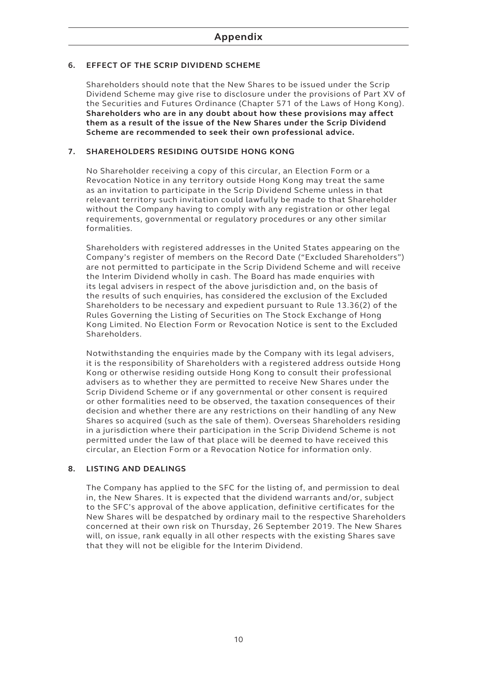#### **6. EFFECT OF THE SCRIP DIVIDEND SCHEME**

Shareholders should note that the New Shares to be issued under the Scrip Dividend Scheme may give rise to disclosure under the provisions of Part XV of the Securities and Futures Ordinance (Chapter 571 of the Laws of Hong Kong). **Shareholders who are in any doubt about how these provisions may affect them as a result of the issue of the New Shares under the Scrip Dividend Scheme are recommended to seek their own professional advice.**

#### **7. SHAREHOLDERS RESIDING OUTSIDE HONG KONG**

No Shareholder receiving a copy of this circular, an Election Form or a Revocation Notice in any territory outside Hong Kong may treat the same as an invitation to participate in the Scrip Dividend Scheme unless in that relevant territory such invitation could lawfully be made to that Shareholder without the Company having to comply with any registration or other legal requirements, governmental or regulatory procedures or any other similar formalities.

Shareholders with registered addresses in the United States appearing on the Company's register of members on the Record Date ("Excluded Shareholders") are not permitted to participate in the Scrip Dividend Scheme and will receive the Interim Dividend wholly in cash. The Board has made enquiries with its legal advisers in respect of the above jurisdiction and, on the basis of the results of such enquiries, has considered the exclusion of the Excluded Shareholders to be necessary and expedient pursuant to Rule 13.36(2) of the Rules Governing the Listing of Securities on The Stock Exchange of Hong Kong Limited. No Election Form or Revocation Notice is sent to the Excluded Shareholders.

Notwithstanding the enquiries made by the Company with its legal advisers, it is the responsibility of Shareholders with a registered address outside Hong Kong or otherwise residing outside Hong Kong to consult their professional advisers as to whether they are permitted to receive New Shares under the Scrip Dividend Scheme or if any governmental or other consent is required or other formalities need to be observed, the taxation consequences of their decision and whether there are any restrictions on their handling of any New Shares so acquired (such as the sale of them). Overseas Shareholders residing in a jurisdiction where their participation in the Scrip Dividend Scheme is not permitted under the law of that place will be deemed to have received this circular, an Election Form or a Revocation Notice for information only.

#### **8. LISTING AND DEALINGS**

The Company has applied to the SFC for the listing of, and permission to deal in, the New Shares. It is expected that the dividend warrants and/or, subject to the SFC's approval of the above application, definitive certificates for the New Shares will be despatched by ordinary mail to the respective Shareholders concerned at their own risk on Thursday, 26 September 2019. The New Shares will, on issue, rank equally in all other respects with the existing Shares save that they will not be eligible for the Interim Dividend.